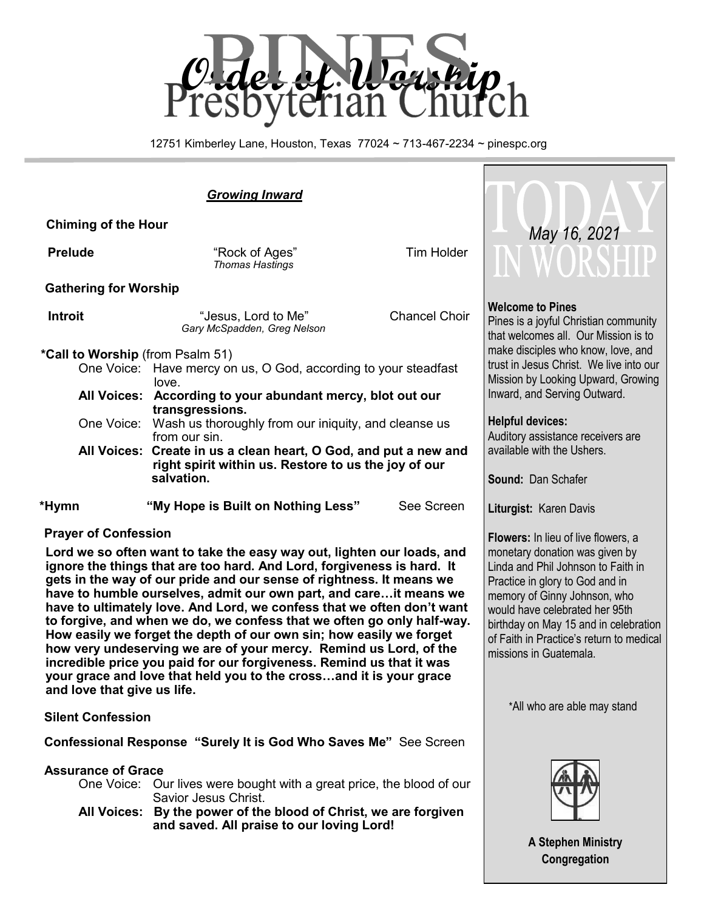

12751 Kimberley Lane, Houston, Texas 77024 ~ 713-467-2234 ~ pinespc.org

## *Growing Inward*

 **Chiming of the Hour**

**Prelude Prelude Prelude Prelude Prelude Tim Holder** *Thomas Hastings*

#### **Gathering for Worship**

| Introit | "Jesus, Lord to Me"         |  |
|---------|-----------------------------|--|
|         | Gary McSpadden, Greg Nelson |  |

#### **\*Call to Worship** (from Psalm 51)

- One Voice: Have mercy on us, O God, according to your steadfast love.
- **All Voices: According to your abundant mercy, blot out our transgressions.**
- One Voice: Wash us thoroughly from our iniquity, and cleanse us from our sin.
- **All Voices: Create in us a clean heart, O God, and put a new and right spirit within us. Restore to us the joy of our salvation.**

 **\*Hymn "My Hope is Built on Nothing Less"** See Screen

### **Prayer of Confession**

**Lord we so often want to take the easy way out, lighten our loads, and ignore the things that are too hard. And Lord, forgiveness is hard. It gets in the way of our pride and our sense of rightness. It means we have to humble ourselves, admit our own part, and care…it means we have to ultimately love. And Lord, we confess that we often don't want to forgive, and when we do, we confess that we often go only half-way. How easily we forget the depth of our own sin; how easily we forget how very undeserving we are of your mercy. Remind us Lord, of the incredible price you paid for our forgiveness. Remind us that it was your grace and love that held you to the cross…and it is your grace and love that give us life.** 

### **Silent Confession**

 **Confessional Response "Surely It is God Who Saves Me"** See Screen

### **Assurance of Grace**

One Voice: Our lives were bought with a great price, the blood of our Savior Jesus Christ.

**All Voices: By the power of the blood of Christ, we are forgiven and saved. All praise to our loving Lord!**



### **Welcome to Pines**

**Chancel Choir** 

Pines is a joyful Christian community that welcomes all. Our Mission is to make disciples who know, love, and trust in Jesus Christ. We live into our Mission by Looking Upward, Growing Inward, and Serving Outward.

#### **Helpful devices:**

Auditory assistance receivers are available with the Ushers.

**Sound:** Dan Schafer

**Liturgist:** Karen Davis

**Flowers:** In lieu of live flowers, a monetary donation was given by Linda and Phil Johnson to Faith in Practice in glory to God and in memory of Ginny Johnson, who would have celebrated her 95th birthday on May 15 and in celebration of Faith in Practice's return to medical missions in Guatemala.

\*All who are able may stand



**A Stephen Ministry Congregation**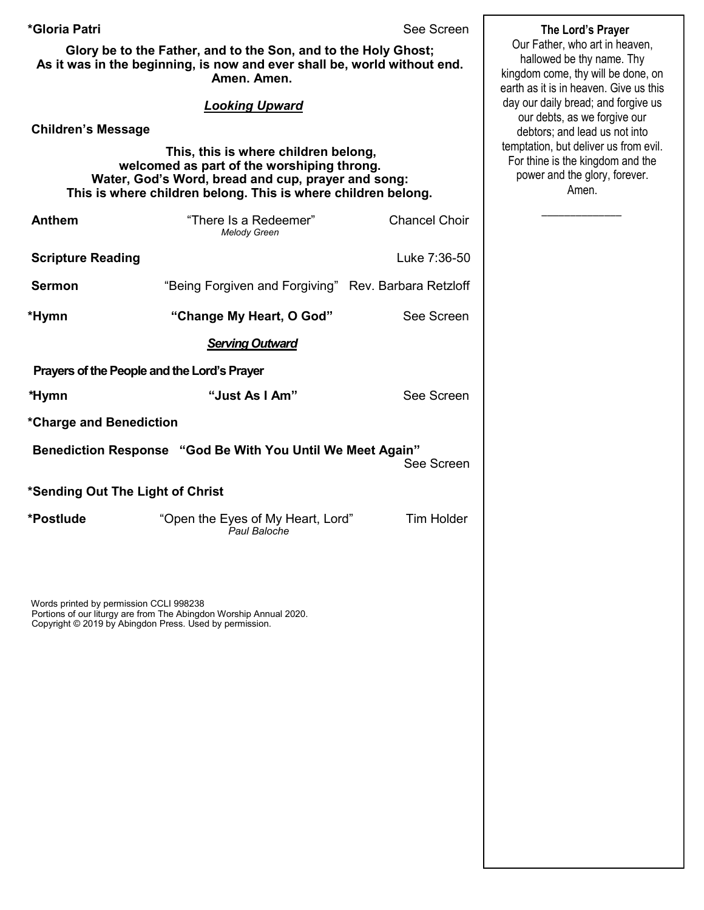**\*Gloria Patri** See Screen

**Glory be to the Father, and to the Son, and to the Holy Ghost; As it was in the beginning, is now and ever shall be, world without end. Amen. Amen.** 

#### *Looking Upward*

**Children's Message**

 **This, this is where children belong, welcomed as part of the worshiping throng. Water, God's Word, bread and cup, prayer and song: This is where children belong. This is where children belong.**

| <b>Anthem</b>                               | "There Is a Redeemer"<br><b>Melody Green</b>               | <b>Chancel Choir</b> |  |  |  |
|---------------------------------------------|------------------------------------------------------------|----------------------|--|--|--|
| <b>Scripture Reading</b>                    |                                                            | Luke 7:36-50         |  |  |  |
| <b>Sermon</b>                               | "Being Forgiven and Forgiving" Rev. Barbara Retzloff       |                      |  |  |  |
| *Hymn                                       | "Change My Heart, O God"                                   | See Screen           |  |  |  |
| <b>Serving Outward</b>                      |                                                            |                      |  |  |  |
| Prayers of the People and the Lord's Prayer |                                                            |                      |  |  |  |
| *Hymn                                       | "Just As I Am"                                             | See Screen           |  |  |  |
| *Charge and Benediction                     |                                                            |                      |  |  |  |
|                                             | Benediction Response "God Be With You Until We Meet Again" | See Screen           |  |  |  |
| *Sending Out The Light of Christ            |                                                            |                      |  |  |  |
| *Postlude                                   | "Open the Eyes of My Heart, Lord"<br>Paul Baloche          | <b>Tim Holder</b>    |  |  |  |
|                                             |                                                            |                      |  |  |  |

Words printed by permission CCLI 998238 Portions of our liturgy are from The Abingdon Worship Annual 2020. Copyright © 2019 by Abingdon Press. Used by permission.

 **The Lord's Prayer** Our Father, who art in heaven, hallowed be thy name. Thy kingdom come, thy will be done, on earth as it is in heaven. Give us this day our daily bread; and forgive us our debts, as we forgive our debtors; and lead us not into temptation, but deliver us from evil. For thine is the kingdom and the power and the glory, forever.

Amen.

 $\overline{\phantom{a}}$  ,  $\overline{\phantom{a}}$  ,  $\overline{\phantom{a}}$  ,  $\overline{\phantom{a}}$  ,  $\overline{\phantom{a}}$  ,  $\overline{\phantom{a}}$  ,  $\overline{\phantom{a}}$  ,  $\overline{\phantom{a}}$  ,  $\overline{\phantom{a}}$  ,  $\overline{\phantom{a}}$  ,  $\overline{\phantom{a}}$  ,  $\overline{\phantom{a}}$  ,  $\overline{\phantom{a}}$  ,  $\overline{\phantom{a}}$  ,  $\overline{\phantom{a}}$  ,  $\overline{\phantom{a}}$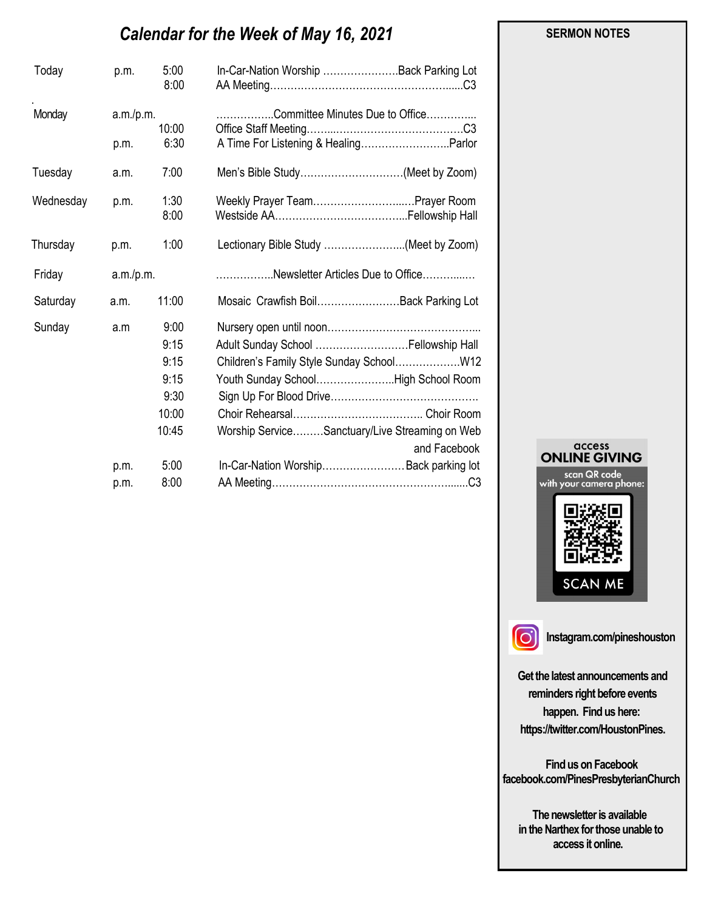# *Calendar for the Week of May 16, 2021*

| Today     | p.m.               | 5:00<br>8:00 | In-Car-Nation Worship  Back Parking Lot                        |
|-----------|--------------------|--------------|----------------------------------------------------------------|
| Monday    | a.m./p.m.<br>10:00 |              | Committee Minutes Due to Office                                |
|           | p.m.               | 6:30         | A Time For Listening & HealingParlor                           |
| Tuesday   | a.m.               | 7:00         | Men's Bible Study(Meet by Zoom)                                |
| Wednesday | p.m.               | 1:30<br>8:00 | Weekly Prayer TeamPrayer Room                                  |
| Thursday  | p.m.               | 1:00         | Lectionary Bible Study (Meet by Zoom)                          |
| Friday    | a.m./p.m.          |              | Newsletter Articles Due to Office                              |
| Saturday  | a.m.               | 11:00        | Mosaic Crawfish Boil Back Parking Lot                          |
| Sunday    | a.m                | 9:00         |                                                                |
|           |                    | 9:15         | Adult Sunday School  Fellowship Hall                           |
|           |                    | 9:15         |                                                                |
|           |                    | 9:15         | Youth Sunday SchoolHigh School Room                            |
|           |                    | 9:30         |                                                                |
|           |                    | 10:00        |                                                                |
|           |                    | 10:45        | Worship ServiceSanctuary/Live Streaming on Web<br>and Facebook |
|           | p.m.               | 5:00         | In-Car-Nation Worship Back parking lot                         |
|           | p.m.               | 8:00         |                                                                |





**Instagram.com/pineshouston**

**Get the latest announcements and reminders right before events happen. Find us here: https://twitter.com/HoustonPines.** 

 **Find us on Facebook facebook.com/PinesPresbyterianChurch** 

 **The newsletter is available in the Narthex for those unable to access it online.** 

#### **SERMON NOTES**